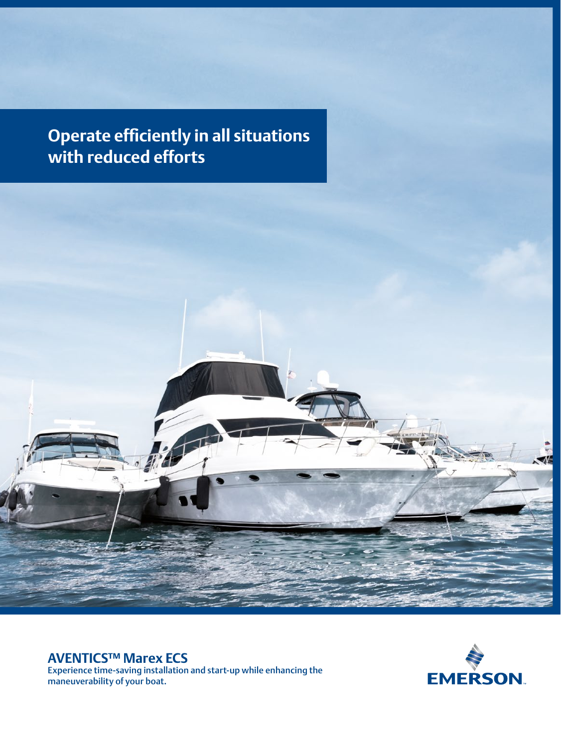# **Operate efficiently in all situations with reduced efforts**



#### **AVENTICS™ Marex ECS**

Experience time-saving installation and start-up while enhancing the maneuverability of your boat.

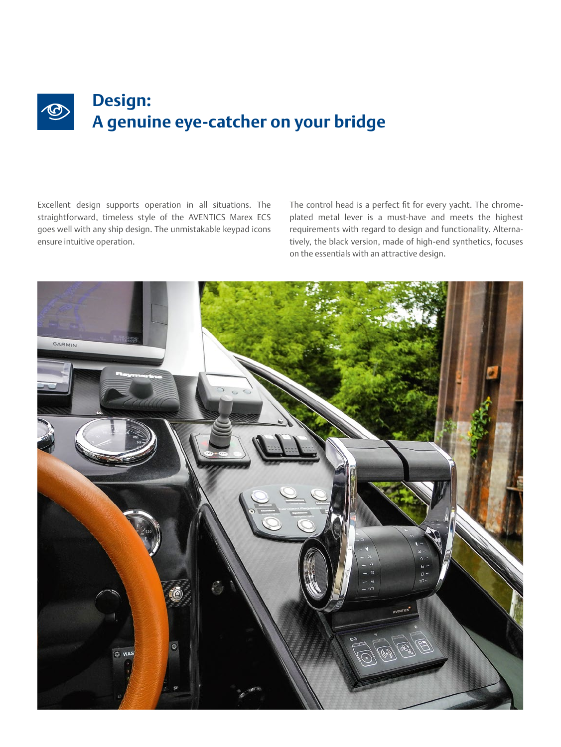## **Design: A genuine eye-catcher on your bridge**

Excellent design supports operation in all situations. The straightforward, timeless style of the AVENTICS Marex ECS goes well with any ship design. The unmistakable keypad icons ensure intuitive operation.

The control head is a perfect fit for every yacht. The chromeplated metal lever is a must-have and meets the highest requirements with regard to design and functionality. Alternatively, the black version, made of high-end synthetics, focuses on the essentials with an attractive design.

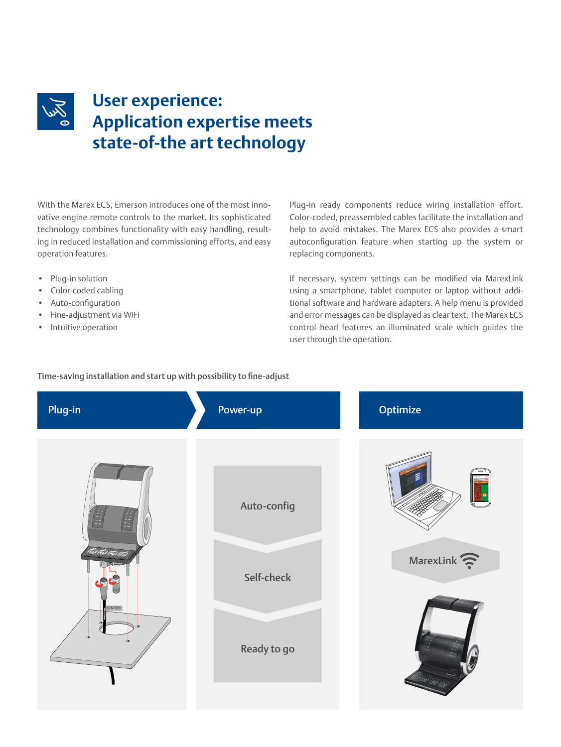

With the Marex ECS, Emerson introduces one of the most innovative engine remote controls to the market. Its sophisticated technology combines functionality with easy handling, resulting in reduced installation and commissioning efforts, and easy operation features.

- Plug-in solution
- Color-coded cabling
- Auto-configuration
- Fine-adjustment via WiFi
- Intuitive operation

Plug-in ready components reduce wiring installation effort. Color-coded, preassembled cables facilitate the installation and help to avoid mistakes. The Marex ECS also provides a smart autoconfiguration feature when starting up the system or replacing components.

If necessary, system settings can be modified via MarexLink using a smartphone, tablet computer or laptop without additional software and hardware adapters. A help menu is provided and error messages can be displayed as clear text. The Marex ECS control head features an illuminated scale which guides the user through the operation.

#### Time-saving installation and start up with possibility to fine-adjust

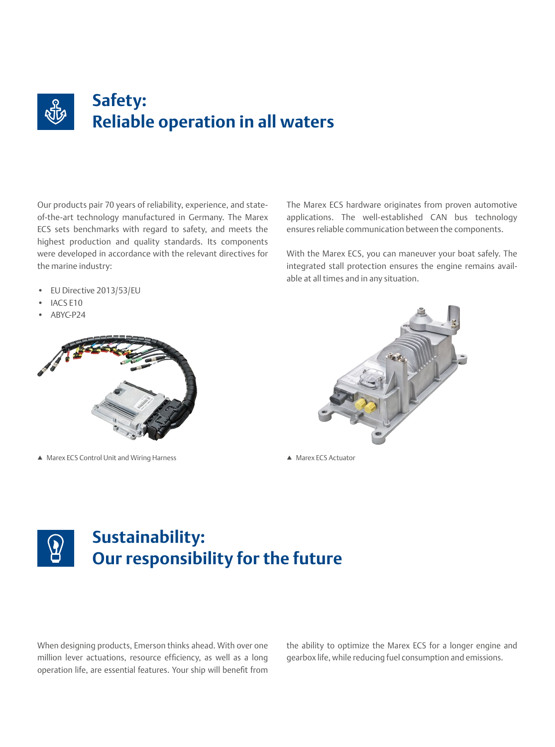

Our products pair 70 years of reliability, experience, and stateof-the-art technology manufactured in Germany. The Marex ECS sets benchmarks with regard to safety, and meets the highest production and quality standards. Its components were developed in accordance with the relevant directives for the marine industry:

- EU Directive 2013/53/EU
- IACS E10
- ABYC-P24



▲ Marex ECS Control Unit and Wiring Harness A Marex ECS Actuator

The Marex ECS hardware originates from proven automotive applications. The well-established CAN bus technology ensures reliable communication between the components.

With the Marex ECS, you can maneuver your boat safely. The integrated stall protection ensures the engine remains available at all times and in any situation.



# **Sustainability: Our responsibility for the future**

When designing products, Emerson thinks ahead. With over one million lever actuations, resource efficiency, as well as a long operation life, are essential features. Your ship will benefit from

the ability to optimize the Marex ECS for a longer engine and gearbox life, while reducing fuel consumption and emissions.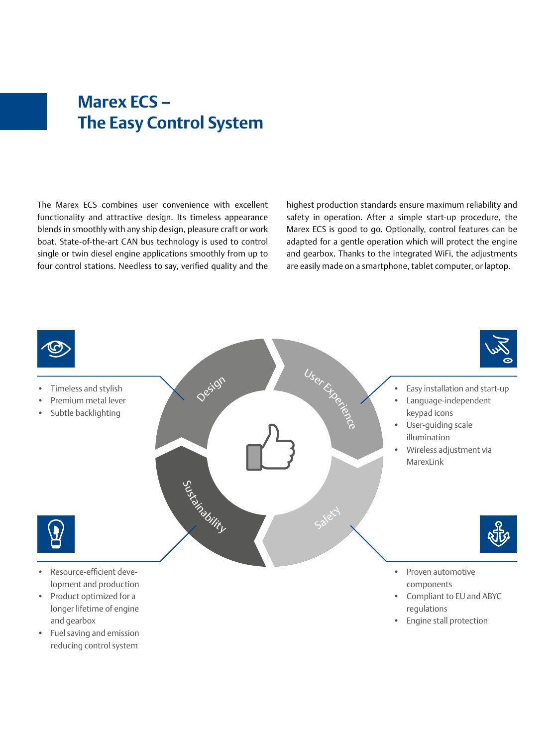## **Marex ECS – The Easy Control System**

The Marex ECS combines user convenience with excellent functionality and attractive design. Its timeless appearance blends in smoothly with any ship design, pleasure craft or work boat. State-of-the-art CAN bus technology is used to control single or twin diesel engine applications smoothly from up to four control stations. Needless to say, verified quality and the highest production standards ensure maximum reliability and safety in operation. After a simple start-up procedure, the Marex ECS is good to go. Optionally, control features can be adapted for a gentle operation which will protect the engine and gearbox. Thanks to the integrated WiFi, the adjustments are easily made on a smartphone, tablet computer, or laptop.



• Fuel saving and emission reducing control system